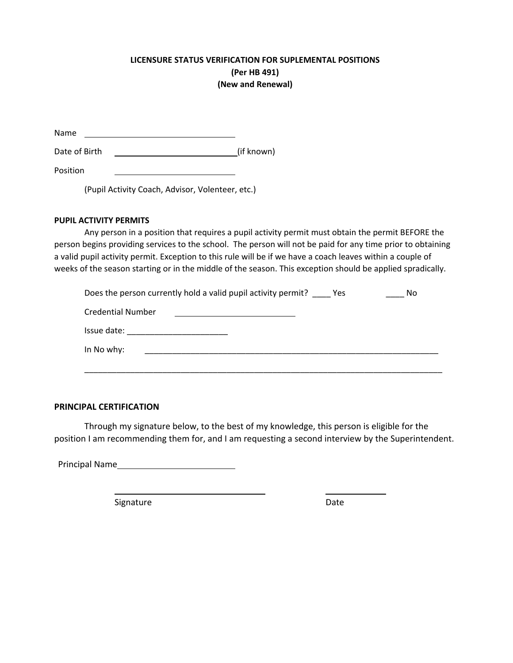## **LICENSURE STATUS VERIFICATION FOR SUPLEMENTAL POSITIONS (Per HB 491) (New and Renewal)**

| Name |  |
|------|--|
|      |  |

Date of Birth (if known)

Position

(Pupil Activity Coach, Advisor, Volenteer, etc.)

## **PUPIL ACTIVITY PERMITS**

Any person in a position that requires a pupil activity permit must obtain the permit BEFORE the person begins providing services to the school. The person will not be paid for any time prior to obtaining a valid pupil activity permit. Exception to this rule will be if we have a coach leaves within a couple of weeks of the season starting or in the middle of the season. This exception should be applied spradically.

| Does the person currently hold a valid pupil activity permit? ______ Yes<br>No |  |  |
|--------------------------------------------------------------------------------|--|--|
| <b>Credential Number</b>                                                       |  |  |
|                                                                                |  |  |
| In No why:                                                                     |  |  |
|                                                                                |  |  |

## **PRINCIPAL CERTIFICATION**

Through my signature below, to the best of my knowledge, this person is eligible for the position I am recommending them for, and I am requesting a second interview by the Superintendent.

Principal Name

Signature Date Date